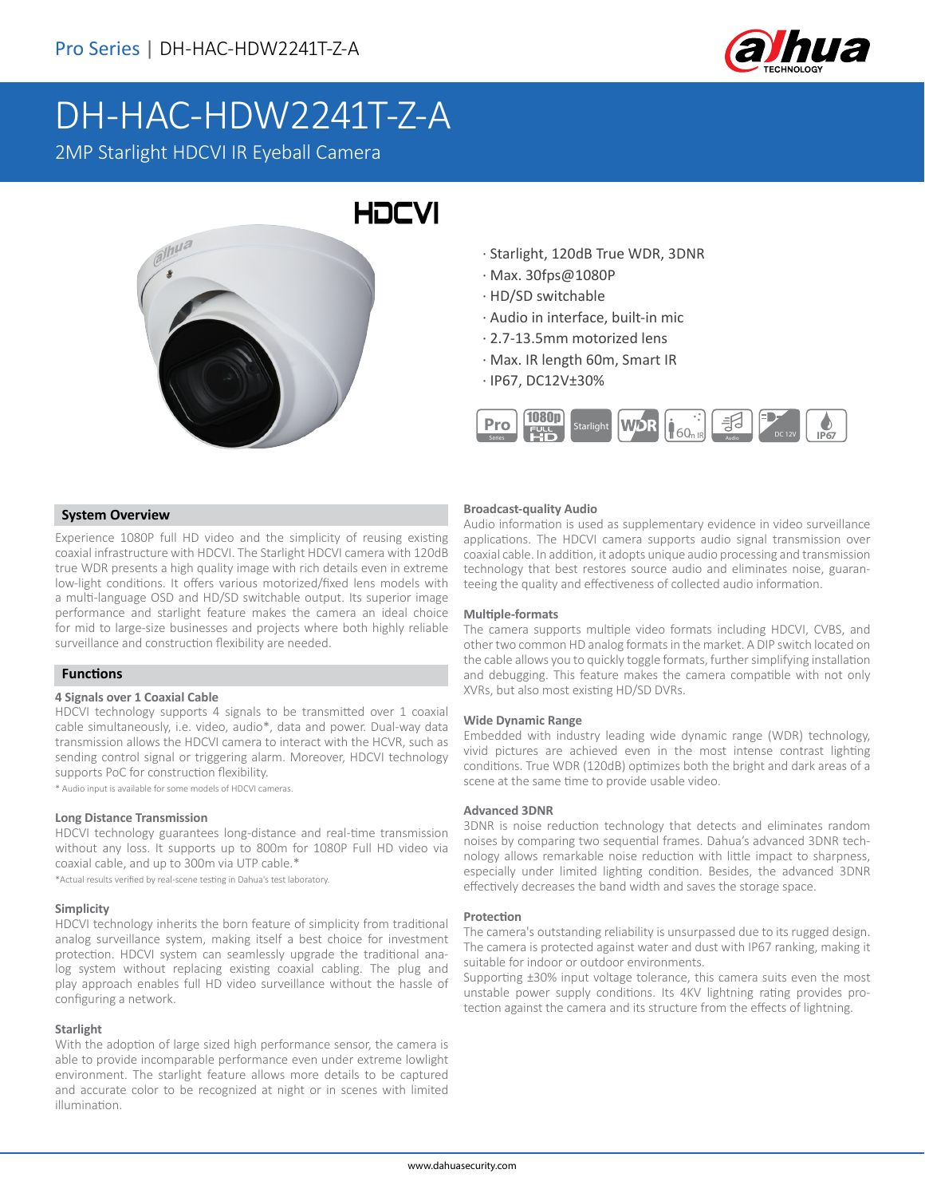

# DH-HAC-HDW2241T-Z-A

2MP Starlight HDCVI IR Eyeball Camera



# · Starlight, 120dB True WDR, 3DNR

- · Max. 30fps@1080P
- · HD/SD switchable
- · Audio in interface, built-in mic
- · 2.7-13.5mm motorized lens
- · Max. IR length 60m, Smart IR
- · IP67, DC12V±30%



## **System Overview**

Experience 1080P full HD video and the simplicity of reusing existing coaxial infrastructure with HDCVI. The Starlight HDCVI camera with 120dB true WDR presents a high quality image with rich details even in extreme low-light conditions. It offers various motorized/fixed lens models with a multi-language OSD and HD/SD switchable output. Its superior image performance and starlight feature makes the camera an ideal choice for mid to large-size businesses and projects where both highly reliable surveillance and construction flexibility are needed.

## **Functions**

#### **4 Signals over 1 Coaxial Cable**

HDCVI technology supports 4 signals to be transmitted over 1 coaxial cable simultaneously, i.e. video, audio\*, data and power. Dual-way data transmission allows the HDCVI camera to interact with the HCVR, such as sending control signal or triggering alarm. Moreover, HDCVI technology supports PoC for construction flexibility.

\* Audio input is available for some models of HDCVI cameras.

#### **Long Distance Transmission**

HDCVI technology guarantees long-distance and real-time transmission without any loss. It supports up to 800m for 1080P Full HD video via coaxial cable, and up to 300m via UTP cable.\*

\*Actual results verified by real-scene testing in Dahua's test laboratory.

#### **Simplicity**

HDCVI technology inherits the born feature of simplicity from traditional analog surveillance system, making itself a best choice for investment protection. HDCVI system can seamlessly upgrade the traditional analog system without replacing existing coaxial cabling. The plug and play approach enables full HD video surveillance without the hassle of configuring a network.

#### **Starlight**

With the adoption of large sized high performance sensor, the camera is able to provide incomparable performance even under extreme lowlight environment. The starlight feature allows more details to be captured and accurate color to be recognized at night or in scenes with limited illumination.

#### **Broadcast-quality Audio**

Audio information is used as supplementary evidence in video surveillance applications. The HDCVI camera supports audio signal transmission over coaxial cable. In addition, it adopts unique audio processing and transmission technology that best restores source audio and eliminates noise, guaranteeing the quality and effectiveness of collected audio information.

#### **Multiple-formats**

The camera supports multiple video formats including HDCVI, CVBS, and other two common HD analog formats in the market. A DIP switch located on the cable allows you to quickly toggle formats, further simplifying installation and debugging. This feature makes the camera compatible with not only XVRs, but also most existing HD/SD DVRs.

#### **Wide Dynamic Range**

Embedded with industry leading wide dynamic range (WDR) technology, vivid pictures are achieved even in the most intense contrast lighting conditions. True WDR (120dB) optimizes both the bright and dark areas of a scene at the same time to provide usable video.

#### **Advanced 3DNR**

3DNR is noise reduction technology that detects and eliminates random noises by comparing two sequential frames. Dahua's advanced 3DNR technology allows remarkable noise reduction with little impact to sharpness, especially under limited lighting condition. Besides, the advanced 3DNR effectively decreases the band width and saves the storage space.

#### **Protection**

The camera's outstanding reliability is unsurpassed due to its rugged design. The camera is protected against water and dust with IP67 ranking, making it suitable for indoor or outdoor environments.

Supporting ±30% input voltage tolerance, this camera suits even the most unstable power supply conditions. Its 4KV lightning rating provides protection against the camera and its structure from the effects of lightning.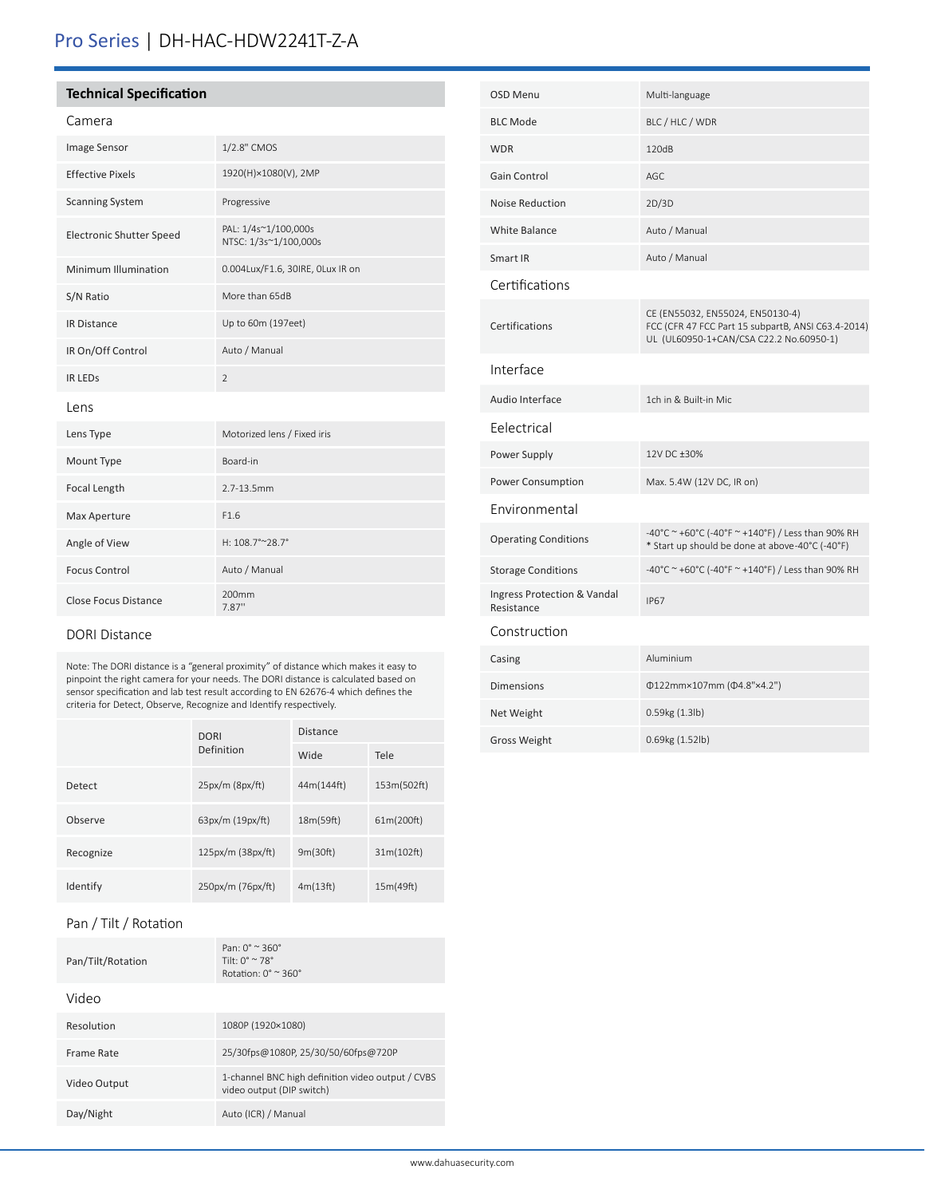# Pro Series | DH-HAC-HDW2241T-Z-A

# **Technical Specification**

# Camera

| Image Sensor                    | 1/2.8" CMOS                                   |
|---------------------------------|-----------------------------------------------|
| <b>Effective Pixels</b>         | 1920(H)×1080(V), 2MP                          |
| <b>Scanning System</b>          | Progressive                                   |
| <b>Electronic Shutter Speed</b> | PAL: 1/4s~1/100,000s<br>NTSC: 1/3s~1/100,000s |
| Minimum Illumination            | 0.004Lux/F1.6, 30IRE, OLux IR on              |
| S/N Ratio                       | More than 65dB                                |
| <b>IR Distance</b>              | Up to 60m (197eet)                            |
| IR On/Off Control               | Auto / Manual                                 |
| <b>IR LEDS</b>                  | $\overline{2}$                                |
| Lens                            |                                               |
| Lens Type                       | Motorized lens / Fixed iris                   |
| Mount Type                      | Board-in                                      |
| Focal Length                    | 2.7-13.5mm                                    |
| Max Aperture                    | F1.6                                          |
| Angle of View                   | H: 108.7°~28.7°                               |
| <b>Focus Control</b>            | Auto / Manual                                 |
| <b>Close Focus Distance</b>     | 200 <sub>mm</sub><br>7.87"                    |

## DORI Distance

Note: The DORI distance is a "general proximity" of distance which makes it easy to pinpoint the right camera for your needs. The DORI distance is calculated based on sensor specification and lab test result according to EN 62676-4 which defines the criteria for Detect, Observe, Recognize and Identify respectively.

|           | <b>DORI</b>             | <b>Distance</b> |             |
|-----------|-------------------------|-----------------|-------------|
|           | Definition              | Wide            | Tele        |
| Detect    | 25px/m (8px/ft)         | 44m(144ft)      | 153m(502ft) |
| Observe   | 63px/m (19px/ft)        | 18m(59ft)       | 61m(200ft)  |
| Recognize | $125px/m$ (38 $px/ft$ ) | 9m(30ft)        | 31m(102ft)  |
| Identify  | 250px/m (76px/ft)       | 4m(13ft)        | 15m(49ft)   |

# Pan / Tilt / Rotation

| Pan/Tilt/Rotation | Pan: $0^{\circ} \approx 360^{\circ}$<br>Tilt: $0^{\circ} \approx 78^{\circ}$<br>Rotation: $0^\circ \approx 360^\circ$ |
|-------------------|-----------------------------------------------------------------------------------------------------------------------|
| Video             |                                                                                                                       |
| Resolution        | 1080P (1920×1080)                                                                                                     |
| Frame Rate        | 25/30fps@1080P, 25/30/50/60fps@720P                                                                                   |
| Video Output      | 1-channel BNC high definition video output / CVBS<br>video output (DIP switch)                                        |
| Day/Night         | Auto (ICR) / Manual                                                                                                   |

| <b>OSD Menu</b>                           | Multi-language                                                                                                                    |
|-------------------------------------------|-----------------------------------------------------------------------------------------------------------------------------------|
| <b>BLC Mode</b>                           | BLC / HLC / WDR                                                                                                                   |
| <b>WDR</b>                                | 120dB                                                                                                                             |
| Gain Control                              | AGC                                                                                                                               |
| <b>Noise Reduction</b>                    | 2D/3D                                                                                                                             |
| White Balance                             | Auto / Manual                                                                                                                     |
| Smart IR                                  | Auto / Manual                                                                                                                     |
| Certifications                            |                                                                                                                                   |
| Certifications                            | CE (EN55032, EN55024, EN50130-4)<br>FCC (CFR 47 FCC Part 15 subpartB, ANSI C63.4-2014)<br>UL (UL60950-1+CAN/CSA C22.2 No.60950-1) |
| Interface                                 |                                                                                                                                   |
| Audio Interface                           | 1ch in & Built-in Mic.                                                                                                            |
| Eelectrical                               |                                                                                                                                   |
| Power Supply                              | 12V DC +30%                                                                                                                       |
| Power Consumption                         | Max. 5.4W (12V DC, IR on)                                                                                                         |
| <b>Environmental</b>                      |                                                                                                                                   |
| <b>Operating Conditions</b>               | -40°C ~ +60°C (-40°F ~ +140°F) / Less than 90% RH<br>* Start up should be done at above-40°C (-40°F)                              |
| <b>Storage Conditions</b>                 | -40°C ~ +60°C (-40°F ~ +140°F) / Less than 90% RH                                                                                 |
| Ingress Protection & Vandal<br>Resistance | <b>IP67</b>                                                                                                                       |
| Construction                              |                                                                                                                                   |
| Casing                                    | Aluminium                                                                                                                         |
| <b>Dimensions</b>                         | Φ122mm×107mm (Φ4.8"×4.2")                                                                                                         |
| Net Weight                                | 0.59kg (1.3lb)                                                                                                                    |
|                                           |                                                                                                                                   |

Gross Weight 0.69kg (1.52lb)